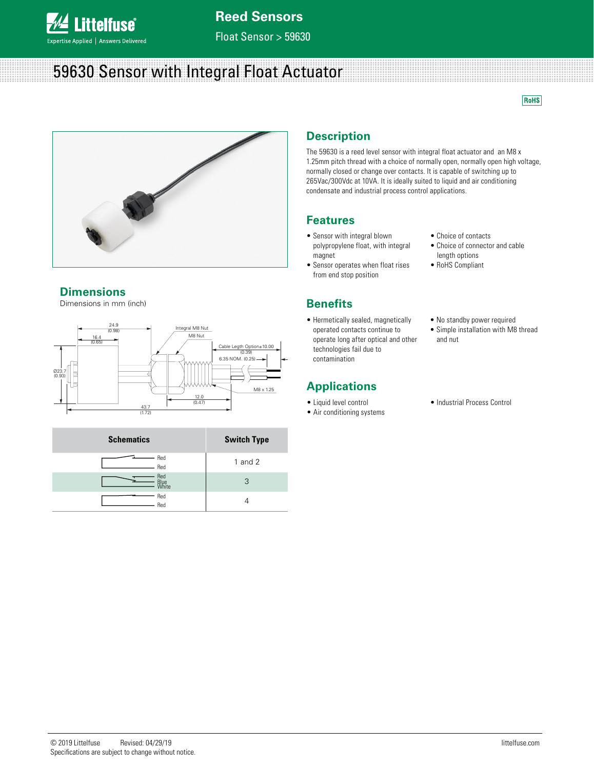

Float Sensor > 59630

# 59630 Sensor with Integral Float Actuator

**RoHS** 



### **Dimensions**

Dimensions in mm (inch)





## **Description**

The 59630 is a reed level sensor with integral float actuator and an M8 x 1.25mm pitch thread with a choice of normally open, normally open high voltage, normally closed or change over contacts. It is capable of switching up to 265Vac/300Vdc at 10VA. It is ideally suited to liquid and air conditioning condensate and industrial process control applications.

### **Features**

- Sensor with integral blown polypropylene float, with integral magnet
- Sensor operates when float rises from end stop position

## **Benefits**

• Hermetically sealed, magnetically operated contacts continue to operate long after optical and other technologies fail due to contamination

## **Applications**

- Liquid level control
- Air conditioning systems
- Choice of contacts
- Choice of connector and cable length options
- RoHS Compliant
- No standby power required
- Simple installation with M8 thread and nut
- Industrial Process Control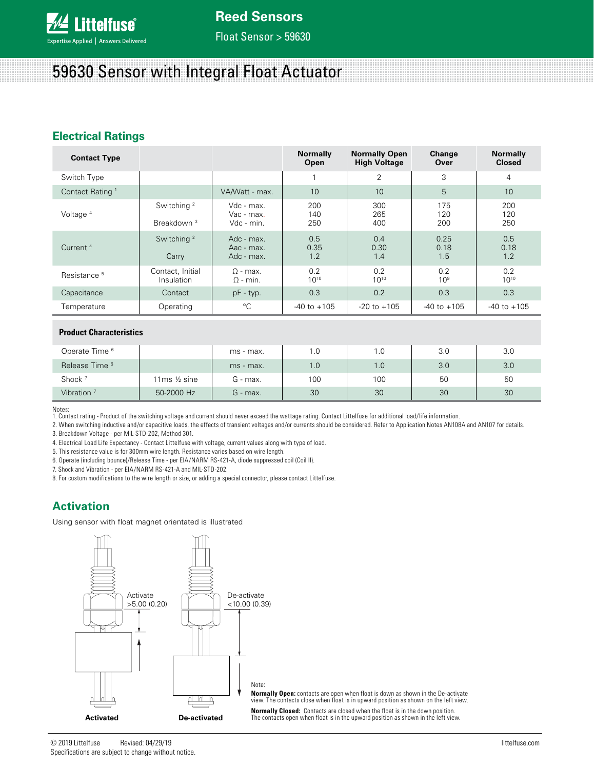

Float Sensor > 59630

# 59630 Sensor with Integral Float Actuator

## **Electrical Ratings**

| <b>Contact Type</b>         |                                                  |                                        | <b>Normally</b><br>Open | <b>Normally Open</b><br><b>High Voltage</b> | Change<br>Over      | <b>Normally</b><br><b>Closed</b> |
|-----------------------------|--------------------------------------------------|----------------------------------------|-------------------------|---------------------------------------------|---------------------|----------------------------------|
| Switch Type                 |                                                  |                                        |                         | 2                                           | 3                   | $\overline{4}$                   |
| Contact Rating <sup>1</sup> | VA/Watt - max.                                   |                                        | 10                      | 10                                          | 5                   | 10                               |
| Voltage <sup>4</sup>        | Switching <sup>2</sup><br>Breakdown <sup>3</sup> | Vdc - max.<br>Vac - max.<br>Vdc - min. | 200<br>140<br>250       | 300<br>265<br>400                           | 175<br>120<br>200   | 200<br>120<br>250                |
| Current <sup>4</sup>        | Switching <sup>2</sup><br>Carry                  | Adc - max.<br>Aac - max.<br>Adc - max. | 0.5<br>0.35<br>1.2      | 0.4<br>0.30<br>1.4                          | 0.25<br>0.18<br>1.5 | 0.5<br>0.18<br>1.2               |
| Resistance <sup>5</sup>     | Contact, Initial<br>Insulation                   | $\Omega$ - max.<br>$\Omega$ - min.     | 0.2<br>$10^{10}$        | 0.2<br>$10^{10}$                            | 0.2<br>$10^{9}$     | 0.2<br>$10^{10}$                 |
| Capacitance                 | Contact                                          | $pF - typ.$                            | 0.3                     | 0.2                                         | 0.3                 | 0.3                              |
| Temperature                 | Operating                                        | °C                                     | $-40$ to $+105$         | $-20$ to $+105$                             | $-40$ to $+105$     | $-40$ to $+105$                  |

#### **Product Characteristics**

| Operate Time <sup>6</sup> |             | ms - max. | 1.0 | 0. ا | 3.0 | 3.0 |
|---------------------------|-------------|-----------|-----|------|-----|-----|
| Release Time <sup>6</sup> |             | ms - max. | 1.0 | 1.0  | 3.0 | 3.0 |
| Shock <sup>7</sup>        | 11ms ½ sine | G - max.  | 100 | 100  | 50  | 50  |
| Vibration <sup>7</sup>    | 50-2000 Hz  | G - max.  | 30  | 30   | 30  | 30  |

Notes:

1. Contact rating - Product of the switching voltage and current should never exceed the wattage rating. Contact Littelfuse for additional load/life information.

2. When switching inductive and/or capacitive loads, the effects of transient voltages and/or currents should be considered. Refer to Application Notes AN108A and AN107 for details.

3. Breakdown Voltage - per MIL-STD-202, Method 301.

4. Electrical Load Life Expectancy - Contact Littelfuse with voltage, current values along with type of load.

5. This resistance value is for 300mm wire length. Resistance varies based on wire length.

6. Operate (including bounce)/Release Time - per EIA/NARM RS-421-A, diode suppressed coil (Coil II).

7. Shock and Vibration - per EIA/NARM RS-421-A and MIL-STD-202.

8. For custom modifications to the wire length or size, or adding a special connector, please contact Littelfuse.

## **Activation**

Using sensor with float magnet orientated is illustrated



**Normally Open:** contacts are open when float is down as shown in the De-activate view. The contacts close when float is in upward position as shown on the left view.

**Normally Closed:** Contacts are closed when the float is in the down position. The contacts open when float is in the upward position as shown in the left view.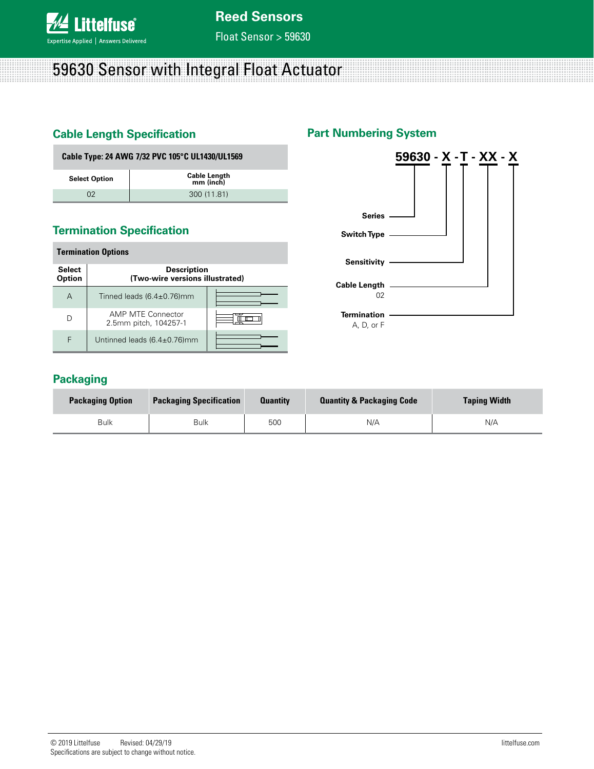

Float Sensor > 59630

# 59630 Sensor with Integral Float Actuator

## **Cable Length Specification**

### **Part Numbering System**

| Cable Type: 24 AWG 7/32 PVC 105°C UL1430/UL1569 |                                  |  |  |  |
|-------------------------------------------------|----------------------------------|--|--|--|
| <b>Select Option</b>                            | <b>Cable Length</b><br>mm (inch) |  |  |  |
| 02                                              | 300 (11.81)                      |  |  |  |

## **Termination Specification**

| <b>Termination Options</b>     |                                                       |  |  |  |  |
|--------------------------------|-------------------------------------------------------|--|--|--|--|
| <b>Select</b><br><b>Option</b> | <b>Description</b><br>(Two-wire versions illustrated) |  |  |  |  |
| А                              | Tinned leads $(6.4 \pm 0.76)$ mm                      |  |  |  |  |
|                                | AMP MTE Connector<br>2.5mm pitch, 104257-1            |  |  |  |  |
| F                              | Untinned leads $(6.4\pm0.76)$ mm                      |  |  |  |  |



## **Packaging**

| <b>Packaging Option</b> | <b>Packaging Specification</b> | <b>Quantity</b> | <b>Quantity &amp; Packaging Code</b> | <b>Taping Width</b> |
|-------------------------|--------------------------------|-----------------|--------------------------------------|---------------------|
| <b>Bulk</b>             | <b>Bulk</b>                    | 500             | N/A                                  | N/A                 |